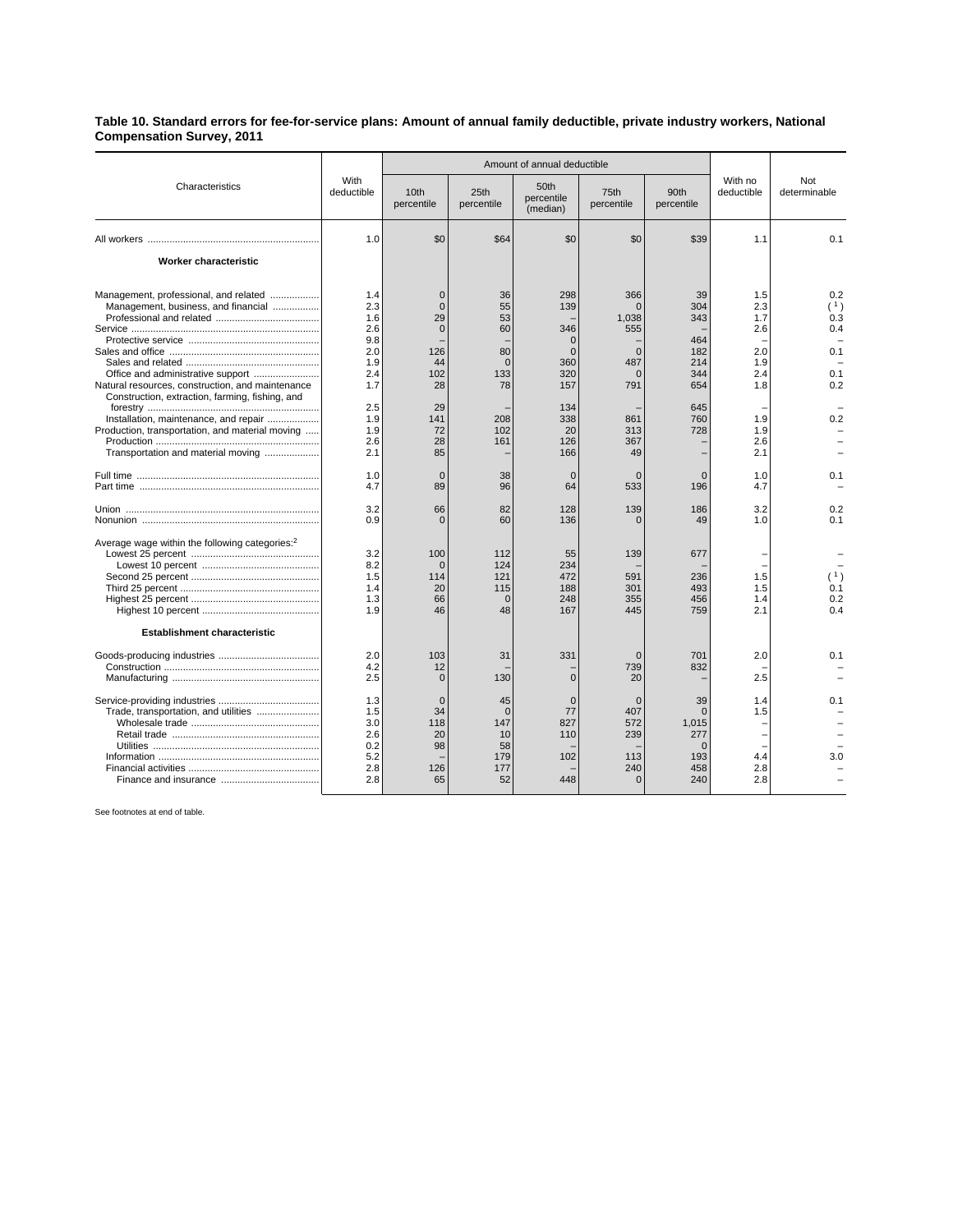## **Table 10. Standard errors for fee-for-service plans: Amount of annual family deductible, private industry workers, National Compensation Survey, 2011**

| Characteristics                                                                                                                                                                                                                                                                                                                                                                                                          | With<br>deductible                                                                                                                | Amount of annual deductible                                                                                                               |                                                                                                         |                                                                                                                                        |                                                                                                                                               |                                                                                                                 |                                                                                                              |                                                                           |
|--------------------------------------------------------------------------------------------------------------------------------------------------------------------------------------------------------------------------------------------------------------------------------------------------------------------------------------------------------------------------------------------------------------------------|-----------------------------------------------------------------------------------------------------------------------------------|-------------------------------------------------------------------------------------------------------------------------------------------|---------------------------------------------------------------------------------------------------------|----------------------------------------------------------------------------------------------------------------------------------------|-----------------------------------------------------------------------------------------------------------------------------------------------|-----------------------------------------------------------------------------------------------------------------|--------------------------------------------------------------------------------------------------------------|---------------------------------------------------------------------------|
|                                                                                                                                                                                                                                                                                                                                                                                                                          |                                                                                                                                   | 10 <sub>th</sub><br>percentile                                                                                                            | 25th<br>percentile                                                                                      | 50th<br>percentile<br>(median)                                                                                                         | 75th<br>percentile                                                                                                                            | 90th<br>percentile                                                                                              | With no<br>deductible                                                                                        | Not<br>determinable                                                       |
|                                                                                                                                                                                                                                                                                                                                                                                                                          | 1.0                                                                                                                               | \$0                                                                                                                                       | \$64                                                                                                    | \$0                                                                                                                                    | \$0                                                                                                                                           | \$39                                                                                                            | 1.1                                                                                                          | 0.1                                                                       |
| Worker characteristic                                                                                                                                                                                                                                                                                                                                                                                                    |                                                                                                                                   |                                                                                                                                           |                                                                                                         |                                                                                                                                        |                                                                                                                                               |                                                                                                                 |                                                                                                              |                                                                           |
| Management, professional, and related<br>Management, business, and financial<br>Office and administrative support<br>Natural resources, construction, and maintenance<br>Construction, extraction, farming, fishing, and<br>Installation, maintenance, and repair<br>Production, transportation, and material moving<br>Transportation and material moving<br>Average wage within the following categories: <sup>2</sup> | 1.4<br>2.3<br>1.6<br>2.6<br>9.8<br>2.0<br>1.9<br>2.4<br>1.7<br>2.5<br>1.9<br>1.9<br>2.6<br>2.1<br>1.0<br>4.7<br>3.2<br>0.9<br>3.2 | $\mathbf 0$<br>$\mathbf 0$<br>29<br>$\Omega$<br>126<br>44<br>102<br>28<br>29<br>141<br>72<br>28<br>85<br>$\Omega$<br>89<br>66<br>n<br>100 | 36<br>55<br>53<br>60<br>80<br>$\Omega$<br>133<br>78<br>208<br>102<br>161<br>38<br>96<br>82<br>60<br>112 | 298<br>139<br>346<br>$\Omega$<br>$\Omega$<br>360<br>320<br>157<br>134<br>338<br>20<br>126<br>166<br>$\Omega$<br>64<br>128<br>136<br>55 | 366<br>$\Omega$<br>1.038<br>555<br>$\Omega$<br>487<br>$\Omega$<br>791<br>861<br>313<br>367<br>49<br>$\Omega$<br>533<br>139<br>$\Omega$<br>139 | 39<br>304<br>343<br>464<br>182<br>214<br>344<br>654<br>645<br>760<br>728<br>$\Omega$<br>196<br>186<br>49<br>677 | 1.5<br>2.3<br>1.7<br>2.6<br>2.0<br>1.9<br>2.4<br>1.8<br>1.9<br>1.9<br>2.6<br>2.1<br>1.0<br>4.7<br>3.2<br>1.0 | 0.2<br>(1)<br>0.3<br>0.4<br>0.1<br>0.1<br>0.2<br>0.2<br>0.1<br>0.2<br>0.1 |
| Establishment characteristic                                                                                                                                                                                                                                                                                                                                                                                             | 8.2<br>1.5<br>1.4<br>1.3<br>1.9                                                                                                   | $\Omega$<br>114<br>20<br>66<br>46                                                                                                         | 124<br>121<br>115<br>$\Omega$<br>48                                                                     | 234<br>472<br>188<br>248<br>167                                                                                                        | 591<br>301<br>355<br>445                                                                                                                      | 236<br>493<br>456<br>759                                                                                        | 1.5<br>1.5<br>1.4<br>2.1                                                                                     | (1)<br>0.1<br>0.2<br>0.4                                                  |
|                                                                                                                                                                                                                                                                                                                                                                                                                          | 2.0<br>4.2<br>2.5                                                                                                                 | 103<br>12<br>$\mathbf 0$                                                                                                                  | 31<br>130                                                                                               | 331<br>$\Omega$                                                                                                                        | $\Omega$<br>739<br>20                                                                                                                         | 701<br>832                                                                                                      | 2.0<br>2.5                                                                                                   | 0.1                                                                       |
| Trade, transportation, and utilities                                                                                                                                                                                                                                                                                                                                                                                     | 1.3<br>1.5<br>3.0<br>2.6<br>0.2<br>5.2<br>2.8<br>2.8                                                                              | $\mathbf 0$<br>34<br>118<br>20<br>98<br>126<br>65                                                                                         | 45<br>$\Omega$<br>147<br>10<br>58<br>179<br>177<br>52                                                   | $\mathbf 0$<br>77<br>827<br>110<br>102<br>448                                                                                          | $\mathbf 0$<br>407<br>572<br>239<br>113<br>240<br>$\Omega$                                                                                    | 39<br>$\Omega$<br>1,015<br>277<br>$\Omega$<br>193<br>458<br>240                                                 | 1.4<br>1.5<br>4.4<br>2.8<br>2.8                                                                              | 0.1<br>3.0                                                                |

See footnotes at end of table.